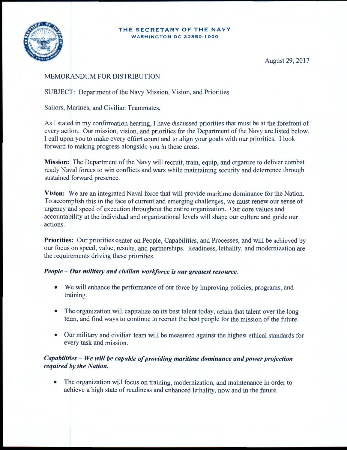#### **THE** SECRETARY OF **THE** NAVY **WASHINGTON DC 20350-1000**



August 29, 2017

# MEMORANDUM FOR DISTRIBUTION

SUBJECT: Department of the Navy Mission, Vision, and Priorities

Sailors, Marines, and Civilian Teammates,

As I stated in my confirmation hearing, I have discussed priorities that must be at the forefront of every action. Our mission, vision, and priorities for the Department of the Navy are listed below. I call upon you to make every effort count and to align your goals with our priorities. I look forward to making progress alongside you in these areas.

Mission: The Department of the Navy will recruit, train, equip, and organize to deliver combat ready Naval forces to win conflicts and wars while maintaining security and deterrence through sustained forward presence.

Vision: We are an integrated Naval force that will provide maritime dominance for the Nation. To accomplish this in the face of current and emerging challenges, we must renew our sense of urgency and speed of execution throughout the entire organization. Our core values and accountability at the individual and organizational levels will shape our culture and guide our actions.

Priorities: Our priorities center on People, Capabilities, and Processes, and will be achieved by our focus on speed, value, results, and partnerships. Readiness, lethality, and modernization are the requirements driving these priorities.

### *People* - *Our military and civilian workforce is our greatest resource.*

- We will enhance the performance of our force by improving policies, programs, and training.
- The organization will capitalize on its best talent today, retain that talent over the long term, and find ways to continue to recruit the best people for the mission of the future.
- Our military and civilian team will be measured against the highest ethical standards for every task and mission.

# *Capabilities* - *We will be capable of providing maritime dominance and power projection required by the Nation.*

• The organization will focus on training, modernization, and maintenance in order to achieve a high state of readiness and enhanced lethality, now and in the future .